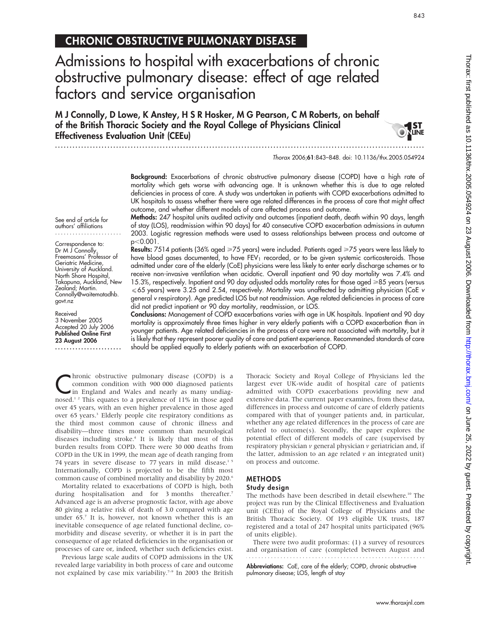# 843

**LINE** 

# CHRONIC OBSTRUCTIVE PULMONARY DISEASE

Admissions to hospital with exacerbations of chronic obstructive pulmonary disease: effect of age related factors and service organisation

M J Connolly, D Lowe, K Anstey, H S R Hosker, M G Pearson, C M Roberts, on behalf of the British Thoracic Society and the Royal College of Physicians Clinical Effectiveness Evaluation Unit (CEEu)

.............................................................................................................................. .

Thorax 2006;61:843–848. doi: 10.1136/thx.2005.054924

Background: Exacerbations of chronic obstructive pulmonary disease (COPD) have a high rate of mortality which gets worse with advancing age. It is unknown whether this is due to age related deficiencies in process of care. A study was undertaken in patients with COPD exacerbations admitted to UK hospitals to assess whether there were age related differences in the process of care that might affect outcome, and whether different models of care affected process and outcome.

Methods: 247 hospital units audited activity and outcomes (inpatient death, death within 90 days, length of stay (LOS), readmission within 90 days) for 40 consecutive COPD exacerbation admissions in autumn 2003. Logistic regression methods were used to assess relationships between process and outcome at  $p<0.001$ .

Results: 7514 patients (36% aged ≥75 years) were included. Patients aged ≥75 years were less likely to have blood gases documented, to have  $FEV<sub>1</sub>$  recorded, or to be given systemic corticosteroids. Those admitted under care of the elderly (CoE) physicians were less likely to enter early discharge schemes or to receive non-invasive ventilation when acidotic. Overall inpatient and 90 day mortality was 7.4% and 15.3%, respectively. Inpatient and 90 day adjusted odds mortality rates for those aged >85 years (versus  $\leqslant$  65 years) were 3.25 and 2.54, respectively. Mortality was unaffected by admitting physician (CoE v general v respiratory). Age predicted LOS but not readmission. Age related deficiencies in process of care did not predict inpatient or 90 day mortality, readmission, or LOS.

Conclusions: Management of COPD exacerbations varies with age in UK hospitals. Inpatient and 90 day mortality is approximately three times higher in very elderly patients with a COPD exacerbation than in younger patients. Age related deficiencies in the process of care were not associated with mortality, but it is likely that they represent poorer quality of care and patient experience. Recommended standards of care should be applied equally to elderly patients with an exacerbation of COPD.

See end of article for authors' affiliations .......................

Correspondence to: Dr M J Connolly, Freemasons' Professor of Geriatric Medicine, University of Auckland. North Shore Hospital, Takapuna, Auckland, New Zealand; Martin. Connolly@waitematadhb. govt.nz

Received 3 November 2005 Accepted 20 July 2006 Published Online First 23 August 2006 .......................

**Chronic obstructive pulmonary disease (COPD) is a** common condition with 900 000 diagnosed patients in England and Wales and nearly as many undiagcommon condition with 900 000 diagnosed patients nosed.1 2 This equates to a prevalence of 11% in those aged over 45 years, with an even higher prevalence in those aged over 65 years.<sup>3</sup> Elderly people cite respiratory conditions as the third most common cause of chronic illness and disability—three times more common than neurological diseases including stroke.4 It is likely that most of this burden results from COPD. There were 30 000 deaths from COPD in the UK in 1999, the mean age of death ranging from 74 years in severe disease to 77 years in mild disease.<sup>15</sup> Internationally, COPD is projected to be the fifth most common cause of combined mortality and disability by 2020.<sup>6</sup>

Mortality related to exacerbations of COPD is high, both during hospitalisation and for 3 months thereafter.<sup>7</sup> Advanced age is an adverse prognostic factor, with age above 80 giving a relative risk of death of 3.0 compared with age under 65.7 It is, however, not known whether this is an inevitable consequence of age related functional decline, comorbidity and disease severity, or whether it is in part the consequence of age related deficiencies in the organisation or processes of care or, indeed, whether such deficiencies exist.

Previous large scale audits of COPD admissions in the UK revealed large variability in both process of care and outcome not explained by case mix variability.7–9 In 2003 the British Thoracic Society and Royal College of Physicians led the largest ever UK-wide audit of hospital care of patients admitted with COPD exacerbations providing new and extensive data. The current paper examines, from these data, differences in process and outcome of care of elderly patients compared with that of younger patients and, in particular, whether any age related differences in the process of care are related to outcome(s). Secondly, the paper explores the potential effect of different models of care (supervised by respiratory physician  $\nu$  general physician  $\nu$  geriatrician and, if the latter, admission to an age related  $\nu$  an integrated unit) on process and outcome.

## METHODS

#### Study design

The methods have been described in detail elsewhere.<sup>10</sup> The project was run by the Clinical Effectiveness and Evaluation unit (CEEu) of the Royal College of Physicians and the British Thoracic Society. Of 193 eligible UK trusts, 187 registered and a total of 247 hospital units participated (96% of units eligible).

There were two audit proformas: (1) a survey of resources and organisation of care (completed between August and 

Abbreviations: CoE, care of the elderly; COPD, chronic obstructive pulmonary disease; LOS, length of stay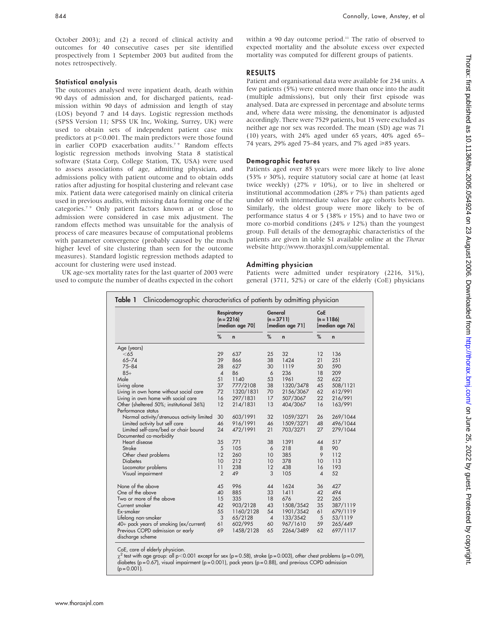October 2003); and (2) a record of clinical activity and outcomes for 40 consecutive cases per site identified prospectively from 1 September 2003 but audited from the notes retrospectively.

#### Statistical analysis

The outcomes analysed were inpatient death, death within 90 days of admission and, for discharged patients, readmission within 90 days of admission and length of stay (LOS) beyond 7 and 14 days. Logistic regression methods (SPSS Version 11; SPSS UK Inc, Woking, Surrey, UK) were used to obtain sets of independent patient case mix predictors at  $p<0.001$ . The main predictors were those found in earlier COPD exacerbation audits.<sup>79</sup> Random effects logistic regression methods involving Stata 8 statistical software (Stata Corp, College Station, TX, USA) were used to assess associations of age, admitting physician, and admissions policy with patient outcome and to obtain odds ratios after adjusting for hospital clustering and relevant case mix. Patient data were categorised mainly on clinical criteria used in previous audits, with missing data forming one of the categories.7 9 Only patient factors known at or close to admission were considered in case mix adjustment. The random effects method was unsuitable for the analysis of process of care measures because of computational problems with parameter convergence (probably caused by the much higher level of site clustering than seen for the outcome measures). Standard logistic regression methods adapted to account for clustering were used instead.

UK age-sex mortality rates for the last quarter of 2003 were used to compute the number of deaths expected in the cohort

within a 90 day outcome period.<sup>11</sup> The ratio of observed to expected mortality and the absolute excess over expected mortality was computed for different groups of patients.

### RESULTS

Patient and organisational data were available for 234 units. A few patients (5%) were entered more than once into the audit (multiple admissions), but only their first episode was analysed. Data are expressed in percentage and absolute terms and, where data were missing, the denominator is adjusted accordingly. There were 7529 patients, but 15 were excluded as neither age nor sex was recorded. The mean (SD) age was 71 (10) years, with 24% aged under 65 years, 40% aged 65– 74 years, 29% aged 75–84 years, and 7% aged  $\geq 85$  years.

### Demographic features

Patients aged over 85 years were more likely to live alone (53%  $v$  30%), require statutory social care at home (at least twice weekly) (27% v 10%), or to live in sheltered or institutional accommodation  $(28\% v 7\%)$  than patients aged under 60 with intermediate values for age cohorts between. Similarly, the oldest group were more likely to be of performance status 4 or 5 (38%  $v$  15%) and to have two or more co-morbid conditions (24%  $\nu$  12%) than the youngest group. Full details of the demographic characteristics of the patients are given in table S1 available online at the Thorax website http://www.thoraxjnl.com/supplemental.

### Admitting physician

Patients were admitted under respiratory (2216, 31%), general (3711, 52%) or care of the elderly (CoE) physicians

| Clinicodemographic characteristics of patients by admitting physician<br>Table 1 |                                                       |             |                |                                 |                                        |             |  |  |  |
|----------------------------------------------------------------------------------|-------------------------------------------------------|-------------|----------------|---------------------------------|----------------------------------------|-------------|--|--|--|
|                                                                                  | <b>Respiratory</b><br>$(n = 2216)$<br>[median age 70] |             | General        | $(n = 3711)$<br>[median age 71] | CoE<br>$(n = 1186)$<br>[median age 76] |             |  |  |  |
|                                                                                  | %                                                     | $\mathbf n$ | %              | $\mathsf{n}$                    | %                                      | $\mathbf n$ |  |  |  |
| Age (years)                                                                      |                                                       |             |                |                                 |                                        |             |  |  |  |
| $<$ 65                                                                           | 29                                                    | 637         | 25             | 32                              | 12                                     | 136         |  |  |  |
| $65 - 74$                                                                        | 39                                                    | 866         | 38             | 1424                            | 21                                     | 251         |  |  |  |
| $75 - 84$                                                                        | 28                                                    | 627         | 30             | 1119                            | 50                                     | 590         |  |  |  |
| $85+$                                                                            | $\boldsymbol{\Lambda}$                                | 86          | 6              | 236                             | 18                                     | 209         |  |  |  |
| Male                                                                             | 51                                                    | 1140        | 53             | 1961                            | 52                                     | 622         |  |  |  |
| Living alone                                                                     | 37                                                    | 777/2108    | 38             | 1320/3478                       | 45                                     | 508/1121    |  |  |  |
| Living in own home without social care                                           | 72                                                    | 1320/1831   | 70             | 2156/3067                       | 62                                     | 612/991     |  |  |  |
| Living in own home with social care                                              | 16                                                    | 297/1831    | 17             | 507/3067                        | 22                                     | 216/991     |  |  |  |
| Other (sheltered 50%; institutional 36%)                                         | 12                                                    | 214/1831    | 13             | 404/3067                        | 16                                     | 163/991     |  |  |  |
| Performance status                                                               |                                                       |             |                |                                 |                                        |             |  |  |  |
| Normal activity/strenuous activity limited                                       | 30                                                    | 603/1991    | 32             | 1059/3271                       | 26                                     | 269/1044    |  |  |  |
| Limited activity but self care                                                   | 46                                                    | 916/1991    | 46             | 1509/3271                       | 48                                     | 496/1044    |  |  |  |
| Limited self-care/bed or chair bound                                             | 24                                                    | 472/1991    | 21             | 703/3271                        | 27                                     | 279/1044    |  |  |  |
| Documented co-morbidity                                                          |                                                       |             |                |                                 |                                        |             |  |  |  |
| Heart disease                                                                    | 35                                                    | 771         | 38             | 1391                            | 44                                     | 517         |  |  |  |
| Stroke                                                                           | 5                                                     | 105         | 6              | 218                             | 8                                      | 90          |  |  |  |
| Other chest problems                                                             | 12                                                    | 260         | 10             | 385                             | 9                                      | 112         |  |  |  |
| <b>Diabetes</b>                                                                  | 10                                                    | 212         | 10             | 378                             | 10                                     | 113         |  |  |  |
| Locomotor problems                                                               | 11                                                    | 238         | 12             | 438                             | 16                                     | 193         |  |  |  |
| Visual impairment                                                                | $\overline{2}$                                        | 49          | 3              | 105                             | $\overline{4}$                         | 52          |  |  |  |
| None of the above                                                                | 45                                                    | 996         | 44             | 1624                            | 36                                     | 427         |  |  |  |
| One of the above                                                                 | 40                                                    | 885         | 33             | 1411                            | 42                                     | 494         |  |  |  |
| Two or more of the above                                                         | 15                                                    | 335         | 18             | 676                             | 22                                     | 265         |  |  |  |
| Current smoker                                                                   | 42                                                    | 903/2128    | 43             | 1508/3542                       | 35                                     | 387/1119    |  |  |  |
| Ex-smoker                                                                        | 55                                                    | 1160/2128   | 54             | 1901/3542                       | 61                                     | 679/1119    |  |  |  |
| Lifelong non-smoker                                                              | 3                                                     | 65/2128     | $\overline{4}$ | 133/3542                        | 5                                      | 53/1119     |  |  |  |
| 40+ pack years of smoking (ex/current)                                           | 61                                                    | 602/995     | 60             | 967/1610                        | 59                                     | 265/449     |  |  |  |
| Previous COPD admission or early                                                 | 69                                                    | 1458/2128   | 65             | 2264/3489                       | 62                                     | 697/1117    |  |  |  |
| discharge scheme                                                                 |                                                       |             |                |                                 |                                        |             |  |  |  |

CoE, care of elderly physician.

test with age group: all p<0.001 except for sex (p=0.58), stroke (p=0.003), other chest problems (p=0.09), diabetes (p=0.67), visual impairment (p=0.001), pack years (p=0.88), and previous COPD admission  $(p = 0.001)$ .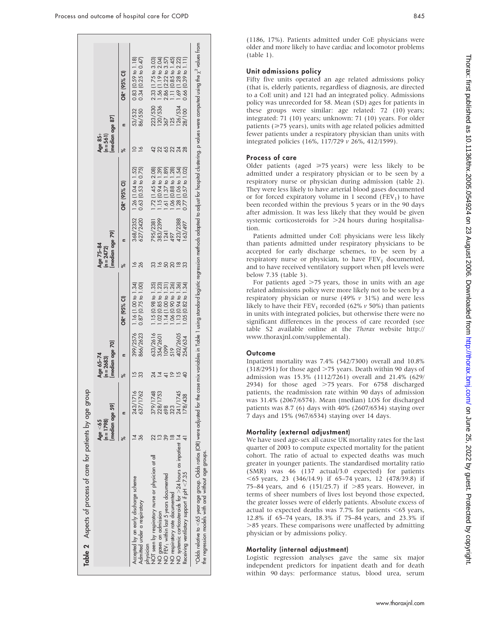|                                                           | $(n = 1798)$<br>Age $<$ 65 | [median age 59] | Age 65-74<br>$(n = 2683)$ | median age 70] |                               | Age 75-84<br>$(n = 2472)$ | [median age 79] |                               | [median age 87]<br>Age 85+<br>$(n = 561)$ |           |                         |
|-----------------------------------------------------------|----------------------------|-----------------|---------------------------|----------------|-------------------------------|---------------------------|-----------------|-------------------------------|-------------------------------------------|-----------|-------------------------|
|                                                           | $\frac{5}{6}$              |                 | $\frac{9}{6}$             |                | OR* (95% CI)                  | $\frac{5}{6}$             |                 | OR* (95% CI)                  | $\frac{9}{6}$                             |           | OR* (95% CI)            |
| Accepted by an early discharge scheme                     |                            | 243/1716        | 5                         | 399/2576       | 1.16(1.00 to 1.34)            | $\circ$                   | 368/2352        | $1.26$ (1.04 to 1.52)         |                                           | 53/532    | $0.83(0.59)$ to $1.18$  |
| Admitted under a respiratory<br>physician                 |                            | 637/1762        |                           | 866/2623       | $0.87$ (0.75 to 1.00)         | 26                        | 627/2420        | $0.63$ (0.53 to 0.75)         | $\infty$                                  | 86/550    | $0.34(0.25)$ to $0.47$  |
| NOT seen by respiratory nurse or physician at all         |                            | 379/1748        |                           | 633/2616       | $1.15(0.98 \text{ to } 1.35)$ |                           | 795/2381        | 1.72 (1.45 to 2.08)           |                                           | 223/530   | 2.33 (1.75 to 3.03)     |
| NO gases on admission                                     |                            | 228/1753        |                           | 354/2601       | .02(0.85 <sub>b</sub> 1.23)   | $\leq$                    | 383/2399        | $.15(0.94 \text{ to } 1.39)$  | 325                                       | 120/536   | 1.56 (1.19 to           |
| NO FEV <sub>1</sub> within last 5 years documented        |                            | 698             | $\overline{4}$            | 099            | .14(1.00 to                   | <sub>50</sub>             | 1241            | $[1.37 \text{ to } ]$<br>1.61 |                                           | 367       | 2.86 (2.22 to 3.57      |
| NO respiratory rate documented                            | $\infty$                   |                 | $\overline{a}$            | $\frac{9}{2}$  | .06(0.90 to 1                 | 20                        | 497             | .06(0.88 <sub>b</sub> 1.28)   | 23                                        | <b>25</b> | .11(0.85 <sub>b</sub> ) |
| NO systemic corticosteroids for >24 hours as inpatient 14 |                            | 241/1745        | $\overline{15}$           | 402/2605       | $1.13(0.94 \text{ to } 1.36)$ | $\frac{8}{2}$             | 423/2388        | .28 (1.06 to 1.54)            |                                           | 126/534   | .69 (1.28 to 2.22)      |
| Receiving ventilatory support if $pH < 7.35$              |                            | 78/438          |                           | 254/634        | $.05(0.82)$ to 1.34           |                           | 63/497          | $0.77$ (0.57 to 1.02)         | $\approx$                                 | 28/100    | $0.66$ $(0.39)$ to 1    |

(1186, 17%). Patients admitted under CoE physicians were older and more likely to have cardiac and locomotor problems (table 1).

#### Unit admissions policy

Fifty five units operated an age related admissions policy (that is, elderly patients, regardless of diagnosis, are directed to a CoE unit) and 121 had an integrated policy. Admissions policy was unrecorded for 58. Mean (SD) ages for patients in these groups were similar: age related: 72 (10) years; integrated: 71 (10) years; unknown: 71 (10) years. For older patients ( >75 years), units with age related policies admitted fewer patients under a respiratory physician than units with integrated policies (16%, 117/729 v 26%, 412/1599).

#### Process of care

Older patients (aged >75 years) were less likely to be admitted under a respiratory physician or to be seen by a respiratory nurse or physician during admission (table 2). They were less likely to have arterial blood gases documented or for forced expiratory volume in 1 second (FEV 1) to have been recorded within the previous 5 years or in the 90 days after admission. It was less likely that they would be given systemic corticosteroids for  $>$ 24 hours during hospitalisation.

Patients admitted under CoE physicians were less likely than patients admitted under respiratory physicians to be accepted for early discharge schemes, to be seen by a respiratory nurse or physician, to have FEV <sup>1</sup> documented, and to have received ventilatory support when pH levels were below 7.35 (table 3).

For patients aged >75 years, those in units with an age related admissions policy were more likely not to be seen by a respiratory physician or nurse (49% v 31%) and were less likely to have their FEV<sub>1</sub> recorded (62%  $\nu$  50%) than patients in units with integrated policies, but otherwise there were no significant differences in the process of care recorded (see table S2 available online at the Thorax website http:// www.thoraxjnl.com/supplemental).

#### **Outcome**

Inpatient mortality was 7.4% (542/7300) overall and 10.8%  $(318/2951)$  for those aged  $>75$  years. Death within 90 days of admission was 15.3% (1112/7261) overall and 21.4% (629/ 2934) for those aged .75 years. For 6758 discharged patients, the readmission rate within 90 days of admission was 31.4% (2067/6574). Mean (median) LOS for discharged patients was 8.7 (6) days with 40% (2607/6534) staying over 7 days and 15% (967/6534) staying over 14 days.

#### Mortality (external adjustment)

We have used age-sex all cause UK mortality rates for the last quarter of 2003 to compute expected mortality for the patient cohort. The ratio of actual to expected deaths was much greater in younger patients. The standardised mortality ratio (SMR) was 46 (137 actual/3.0 expected) for patients  $<$  65 years, 23 (346/14.9) if 65–74 years, 12 (478/39.8) if 75–84 years, and 6 (151/25.7) if .85 years. However, in terms of sheer numbers of lives lost beyond those expected, the greater losses were of elderly patients. Absolute excess of actual to expected deaths was  $7.7\%$  for patients  $\leq 65$  years, 12.8% if 65–74 years, 18.3% if 75–84 years, and 23.3% if >85 years. These comparisons were unaffected by admitting physician or by admissions policy.

### Mortality (internal adjustment)

Logistic regression analyses gave the same six major independent predictors for inpatient death and for death within 90 days: performance status, blood urea, serum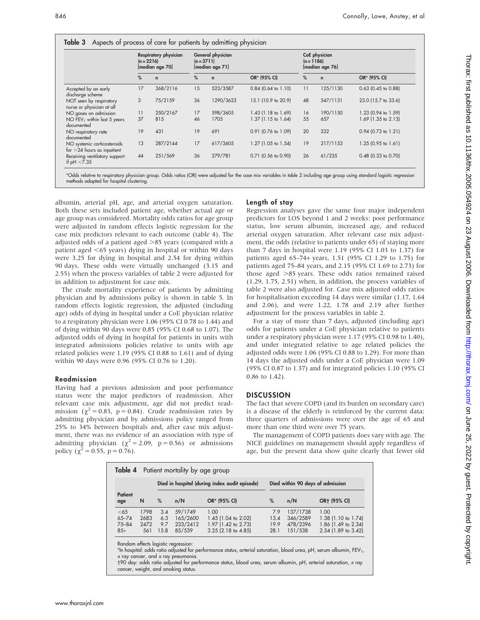|                                                              | <b>Respiratory physician</b><br>$(n = 2216)$<br>[median age 70] |             |    | General physician<br>$(n = 3711)$<br>[median age 71] |                       |    | CoE physician<br>$(n = 1186)$<br>[median age 76] |                          |  |
|--------------------------------------------------------------|-----------------------------------------------------------------|-------------|----|------------------------------------------------------|-----------------------|----|--------------------------------------------------|--------------------------|--|
|                                                              | %                                                               | $\mathbf n$ | %  | $\mathbf n$                                          | OR* (95% CI)          | %  | $\mathbf n$                                      | OR* (95% CI)             |  |
| Accepted by an early<br>discharge scheme                     | 17                                                              | 368/2116    | 15 | 523/3587                                             | $0.84$ (0.64 to 1.10) | 11 | 125/1130                                         | $0.63$ (0.45 to 0.88)    |  |
| NOT seen by respiratory<br>nurse or physician at all         | 3                                                               | 75/2159     | 36 | 1290/3623                                            | 15.1 (10.9 to 20.9)   | 48 | 547/1131                                         | 23.0 (15.7 to 33.6)      |  |
| NO gases on admission                                        | 11                                                              | 250/2167    | 17 | 598/3605                                             | $1.43$ (1.18 to 1.69) | 16 | 190/1150                                         | 1.23 (0.94 to 1.59)      |  |
| NO FEV <sub>1</sub> within last 5 years<br>documented        | 37                                                              | 815         | 46 | 1705                                                 | 1.37 (1.15 to 1.64)   | 55 | 657                                              | $1.69$ (1.35 to 2.13)    |  |
| NO respiratory rate<br>documented                            | 19                                                              | 431         | 19 | 691                                                  | 0.91 (0.76 to 1.09)   | 20 | 232                                              | $0.94$ (0.73 to 1.21)    |  |
| NO systemic corticosteroids<br>for $>$ 24 hours as inpatient | 13                                                              | 287/2144    | 17 | 617/3605                                             | 1.27 (1.05 to 1.54)   | 19 | 217/1153                                         | $1.25$ (0.95 to $1.61$ ) |  |
| Receiving ventilatory support<br>if $pH < 7.35$              | 44                                                              | 251/569     | 36 | 279/781                                              | $0.71$ (0.56 to 0.90) | 26 | 61/235                                           | $0.48$ (0.33 to 0.70)    |  |

methods adapted for hospital clustering.

albumin, arterial pH, age, and arterial oxygen saturation. Both these sets included patient age, whether actual age or age group was considered. Mortality odds ratios for age group were adjusted in random effects logistic regression for the case mix predictors relevant to each outcome (table 4). The adjusted odds of a patient aged  $>85$  years (compared with a patient aged  $\leq 65$  years) dying in hospital or within 90 days were 3.25 for dying in hospital and 2.54 for dying within 90 days. These odds were virtually unchanged (3.15 and 2.55) when the process variables of table 2 were adjusted for in addition to adjustment for case mix.

The crude mortality experience of patients by admitting physician and by admissions policy is shown in table 5. In random effects logistic regression, the adjusted (including age) odds of dying in hospital under a CoE physician relative to a respiratory physician were 1.06 (95% CI 0.78 to 1.44) and of dying within 90 days were 0.85 (95% CI 0.68 to 1.07). The adjusted odds of dying in hospital for patients in units with integrated admissions policies relative to units with age related policies were 1.19 (95% CI 0.88 to 1.61) and of dying within 90 days were 0.96 (95% CI 0.76 to 1.20).

#### Readmission

Having had a previous admission and poor performance status were the major predictors of readmission. After relevant case mix adjustment, age did not predict readmission ( $\gamma^2 = 0.83$ , p = 0.84). Crude readmission rates by admitting physician and by admissions policy ranged from 25% to 34% between hospitals and, after case mix adjustment, there was no evidence of an association with type of admitting physician ( $\chi^2 = 2.09$ , p = 0.56) or admissions policy ( $\chi^2 = 0.55$ , p = 0.76).

#### Length of stay

Regression analyses gave the same four major independent predictors for LOS beyond 1 and 2 weeks: poor performance status, low serum albumin, increased age, and reduced arterial oxygen saturation. After relevant case mix adjustment, the odds (relative to patients under 65) of staying more than 7 days in hospital were 1.19 (95% CI 1.03 to 1.37) for patients aged 65–74+ years, 1.51 (95% CI 1.29 to 1.75) for patients aged 75–84 years, and 2.15 (95% CI 1.69 to 2.73) for those aged  $>85$  years. These odds ratios remained raised (1.29, 1.75, 2.51) when, in addition, the process variables of table 2 were also adjusted for. Case mix adjusted odds ratios for hospitalisation exceeding 14 days were similar (1.17, 1.64 and 2.06), and were 1.22, 1.78 and 2.19 after further adjustment for the process variables in table 2.

For a stay of more than 7 days, adjusted (including age) odds for patients under a CoE physician relative to patients under a respiratory physician were 1.17 (95% CI 0.98 to 1.40), and under integrated relative to age related policies the adjusted odds were 1.06 (95% CI 0.88 to 1.29). For more than 14 days the adjusted odds under a CoE physician were 1.09 (95% CI 0.87 to 1.37) and for integrated policies 1.10 (95% CI 0.86 to 1.42).

#### **DISCUSSION**

The fact that severe COPD (and its burden on secondary care) is a disease of the elderly is reinforced by the current data: three quarters of admissions were over the age of 65 and more than one third were over 75 years.

The management of COPD patients does vary with age. The NICE guidelines on management should apply regardless of age, but the present data show quite clearly that fewer old

| Table 4               |                                               |      | Patient mortality by age group |                       |      |          |                                  |
|-----------------------|-----------------------------------------------|------|--------------------------------|-----------------------|------|----------|----------------------------------|
|                       | Died in hospital (during index audit episode) |      |                                |                       |      |          | Died within 90 days of admission |
| <b>Patient</b><br>age | N                                             | $\%$ | n/N                            | OR* (95% CI)          | %    | n/N      | OR† (95% CI)                     |
| $<$ 65                | 1798                                          | 3.4  | 59/1749                        | 1.00                  | 7.9  | 137/1738 | 1.00                             |
| $65 - 74$             | 2683                                          | 6.3  | 165/2600                       | 1.45 (1.04 to 2.02)   | 13.4 | 346/2589 | 1.38 (1.10 to 1.74)              |
| $75 - 84$             | 2472                                          | 9.7  | 233/2412                       | 1.97 (1.42 to 2.73)   | 19.9 | 478/2396 | 1.86 (1.49 to 2.34)              |
| $85+$                 | 561                                           | 15.8 | 85/539                         | $3.25$ (2.18 to 4.85) | 28.1 | 151/538  | 2.54 (1.89 to 3.42)              |
| _ _ _ _ _ _ _ _ _ _   |                                               |      |                                |                       |      |          |                                  |

Random effects logistic regression:

\*In hospital: odds ratio adjusted for performance status, arterial saturation, blood urea, pH, serum albumin, FEV<sub>1</sub>, x ray cancer, and x ray pneumonia.

-90 day: odds ratio adjusted for performance status, blood urea, serum albumin, pH, arterial saturation, x ray cancer, weight, and smoking status.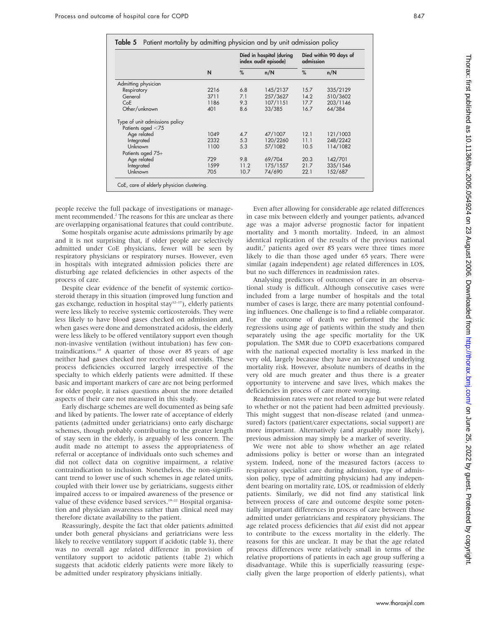|                                |      |      | Died in hospital (during<br>index audit episode) | Died within 90 days of<br>admission |          |  |
|--------------------------------|------|------|--------------------------------------------------|-------------------------------------|----------|--|
|                                | N    | %    | n/N                                              | %                                   | n/N      |  |
| Admitting physician            |      |      |                                                  |                                     |          |  |
| Respiratory                    | 2216 | 6.8  | 145/2137                                         | 15.7                                | 335/2129 |  |
| General                        | 3711 | 7.1  | 257/3627                                         | 14.2                                | 510/3602 |  |
| CoE                            | 1186 | 9.3  | 107/1151                                         | 17.7                                | 203/1146 |  |
| Other/unknown                  | 401  | 8.6  | 33/385                                           | 16.7                                | 64/384   |  |
| Type of unit admissions policy |      |      |                                                  |                                     |          |  |
| Patients aged <75              |      |      |                                                  |                                     |          |  |
| Age related                    | 1049 | 4.7  | 47/1007                                          | 121                                 | 121/1003 |  |
| Integrated                     | 2332 | 5.3  | 120/2260                                         | 11.1                                | 248/2242 |  |
| Unknown                        | 1100 | 5.3  | 57/1082                                          | 10.5                                | 114/1082 |  |
| Patients aged 75+              |      |      |                                                  |                                     |          |  |
| Age related                    | 729  | 9.8  | 69/704                                           | 20.3                                | 142/701  |  |
| Integrated                     | 1599 | 11.2 | 175/1557                                         | 21.7                                | 335/1546 |  |
| Unknown                        | 705  | 10.7 | 74/690                                           | 22.1                                | 152/687  |  |

people receive the full package of investigations or management recommended.<sup>2</sup> The reasons for this are unclear as there are overlapping organisational features that could contribute.

Some hospitals organise acute admissions primarily by age and it is not surprising that, if older people are selectively admitted under CoE physicians, fewer will be seen by respiratory physicians or respiratory nurses. However, even in hospitals with integrated admission policies there are disturbing age related deficiencies in other aspects of the process of care.

Despite clear evidence of the benefit of systemic corticosteroid therapy in this situation (improved lung function and gas exchange, reduction in hospital stay<sup>12–17</sup>), elderly patients were less likely to receive systemic corticosteroids. They were less likely to have blood gases checked on admission and, when gases were done and demonstrated acidosis, the elderly were less likely to be offered ventilatory support even though non-invasive ventilation (without intubation) has few contraindications.<sup>18</sup> A quarter of those over 85 years of age neither had gases checked nor received oral steroids. These process deficiencies occurred largely irrespective of the specialty to which elderly patients were admitted. If these basic and important markers of care are not being performed for older people, it raises questions about the more detailed aspects of their care not measured in this study.

Early discharge schemes are well documented as being safe and liked by patients. The lower rate of acceptance of elderly patients (admitted under geriatricians) onto early discharge schemes, though probably contributing to the greater length of stay seen in the elderly, is arguably of less concern. The audit made no attempt to assess the appropriateness of referral or acceptance of individuals onto such schemes and did not collect data on cognitive impairment, a relative contraindication to inclusion. Nonetheless, the non-significant trend to lower use of such schemes in age related units, coupled with their lower use by geriatricians, suggests either impaired access to or impaired awareness of the presence or value of these evidence based services.<sup>19–22</sup> Hospital organisation and physician awareness rather than clinical need may therefore dictate availability to the patient.

Reassuringly, despite the fact that older patients admitted under both general physicians and geriatricians were less likely to receive ventilatory support if acidotic (table 3), there was no overall age related difference in provision of ventilatory support to acidotic patients (table 2) which suggests that acidotic elderly patients were more likely to be admitted under respiratory physicians initially.

Even after allowing for considerable age related differences in case mix between elderly and younger patients, advanced age was a major adverse prognostic factor for inpatient mortality and 3 month mortality. Indeed, in an almost identical replication of the results of the previous national audit,<sup>7</sup> patients aged over 85 years were three times more likely to die than those aged under 65 years. There were similar (again independent) age related differences in LOS, but no such differences in readmission rates.

Analysing predictors of outcomes of care in an observational study is difficult. Although consecutive cases were included from a large number of hospitals and the total number of cases is large, there are many potential confounding influences. One challenge is to find a reliable comparator. For the outcome of death we performed the logistic regressions using age of patients within the study and then separately using the age specific mortality for the UK population. The SMR due to COPD exacerbations compared with the national expected mortality is less marked in the very old, largely because they have an increased underlying mortality risk. However, absolute numbers of deaths in the very old are much greater and thus there is a greater opportunity to intervene and save lives, which makes the deficiencies in process of care more worrying.

Readmission rates were not related to age but were related to whether or not the patient had been admitted previously. This might suggest that non-disease related (and unmeasured) factors (patient/carer expectations, social support) are more important. Alternatively (and arguably more likely), previous admission may simply be a marker of severity.

We were not able to show whether an age related admissions policy is better or worse than an integrated system. Indeed, none of the measured factors (access to respiratory specialist care during admission, type of admission policy, type of admitting physician) had any independent bearing on mortality rate, LOS, or readmission of elderly patients. Similarly, we did not find any statistical link between process of care and outcome despite some potentially important differences in process of care between those admitted under geriatricians and respiratory physicians. The age related process deficiencies that did exist did not appear to contribute to the excess mortality in the elderly. The reasons for this are unclear. It may be that the age related process differences were relatively small in terms of the relative proportions of patients in each age group suffering a disadvantage. While this is superficially reassuring (especially given the large proportion of elderly patients), what